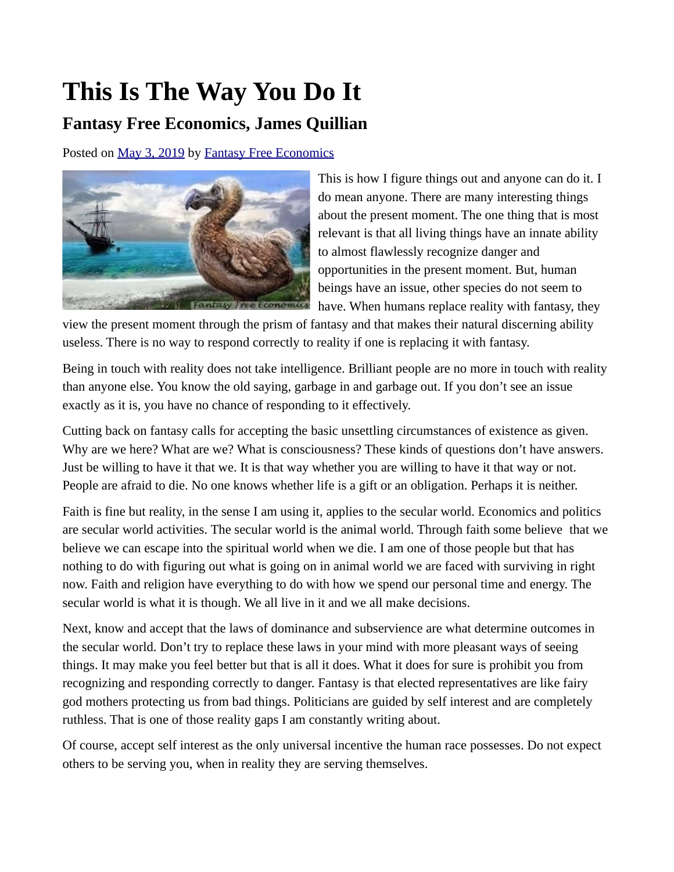## **This Is The Way You Do It**

## **Fantasy Free Economics, James Quillian**

Posted on [May 3, 2019](http://quillian.net/blog/?p=6280) by [Fantasy Free Economics](http://quillian.net/blog/author/james-quillian/)



This is how I figure things out and anyone can do it. I do mean anyone. There are many interesting things about the present moment. The one thing that is most relevant is that all living things have an innate ability to almost flawlessly recognize danger and opportunities in the present moment. But, human beings have an issue, other species do not seem to have. When humans replace reality with fantasy, they

view the present moment through the prism of fantasy and that makes their natural discerning ability useless. There is no way to respond correctly to reality if one is replacing it with fantasy.

Being in touch with reality does not take intelligence. Brilliant people are no more in touch with reality than anyone else. You know the old saying, garbage in and garbage out. If you don't see an issue exactly as it is, you have no chance of responding to it effectively.

Cutting back on fantasy calls for accepting the basic unsettling circumstances of existence as given. Why are we here? What are we? What is consciousness? These kinds of questions don't have answers. Just be willing to have it that we. It is that way whether you are willing to have it that way or not. People are afraid to die. No one knows whether life is a gift or an obligation. Perhaps it is neither.

Faith is fine but reality, in the sense I am using it, applies to the secular world. Economics and politics are secular world activities. The secular world is the animal world. Through faith some believe that we believe we can escape into the spiritual world when we die. I am one of those people but that has nothing to do with figuring out what is going on in animal world we are faced with surviving in right now. Faith and religion have everything to do with how we spend our personal time and energy. The secular world is what it is though. We all live in it and we all make decisions.

Next, know and accept that the laws of dominance and subservience are what determine outcomes in the secular world. Don't try to replace these laws in your mind with more pleasant ways of seeing things. It may make you feel better but that is all it does. What it does for sure is prohibit you from recognizing and responding correctly to danger. Fantasy is that elected representatives are like fairy god mothers protecting us from bad things. Politicians are guided by self interest and are completely ruthless. That is one of those reality gaps I am constantly writing about.

Of course, accept self interest as the only universal incentive the human race possesses. Do not expect others to be serving you, when in reality they are serving themselves.